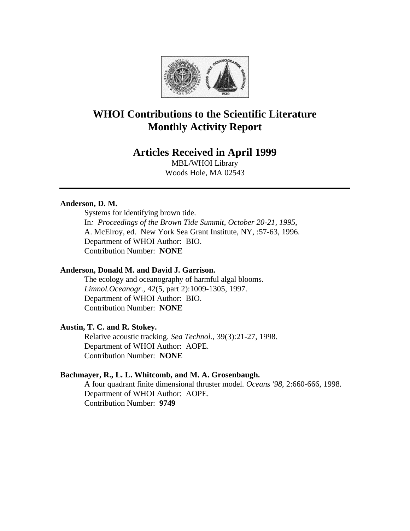

# **WHOI Contributions to the Scientific Literature Monthly Activity Report**

# **Articles Received in April 1999**

MBL/WHOI Library Woods Hole, MA 02543

## **Anderson, D. M.**

Systems for identifying brown tide. In*: Proceedings of the Brown Tide Summit, October 20-21, 1995*, A. McElroy, ed. New York Sea Grant Institute, NY, :57-63, 1996. Department of WHOI Author: BIO. Contribution Number: **NONE**

## **Anderson, Donald M. and David J. Garrison.**

The ecology and oceanography of harmful algal blooms. *Limnol.Oceanogr.*, 42(5, part 2):1009-1305, 1997. Department of WHOI Author: BIO. Contribution Number: **NONE**

## **Austin, T. C. and R. Stokey.**

Relative acoustic tracking. *Sea Technol.*, 39(3):21-27, 1998. Department of WHOI Author: AOPE. Contribution Number: **NONE**

## **Bachmayer, R., L. L. Whitcomb, and M. A. Grosenbaugh.**

A four quadrant finite dimensional thruster model. *Oceans '98*, 2:660-666, 1998. Department of WHOI Author: AOPE. Contribution Number: **9749**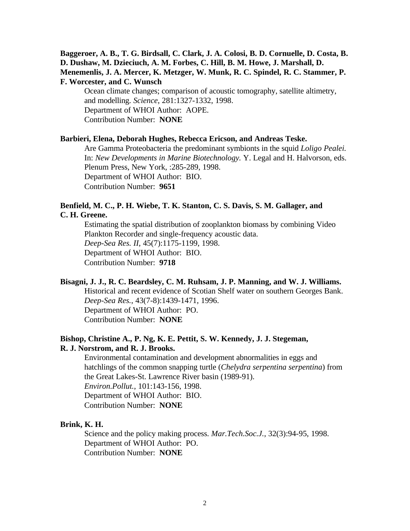## **Baggeroer, A. B., T. G. Birdsall, C. Clark, J. A. Colosi, B. D. Cornuelle, D. Costa, B. D. Dushaw, M. Dzieciuch, A. M. Forbes, C. Hill, B. M. Howe, J. Marshall, D. Menemenlis, J. A. Mercer, K. Metzger, W. Munk, R. C. Spindel, R. C. Stammer, P. F. Worcester, and C. Wunsch**

Ocean climate changes; comparison of acoustic tomography, satellite altimetry, and modelling. *Science*, 281:1327-1332, 1998. Department of WHOI Author: AOPE. Contribution Number: **NONE**

### **Barbieri, Elena, Deborah Hughes, Rebecca Ericson, and Andreas Teske.**

Are Gamma Proteobacteria the predominant symbionts in the squid *Loligo Pealei.* In: *New Developments in Marine Biotechnology.* Y. Legal and H. Halvorson, eds. Plenum Press, New York, :285-289, 1998. Department of WHOI Author: BIO. Contribution Number: **9651**

## **Benfield, M. C., P. H. Wiebe, T. K. Stanton, C. S. Davis, S. M. Gallager, and C. H. Greene.**

Estimating the spatial distribution of zooplankton biomass by combining Video Plankton Recorder and single-frequency acoustic data. *Deep-Sea Res. II*, 45(7):1175-1199, 1998. Department of WHOI Author: BIO. Contribution Number: **9718**

### **Bisagni, J. J., R. C. Beardsley, C. M. Ruhsam, J. P. Manning, and W. J. Williams.**

Historical and recent evidence of Scotian Shelf water on southern Georges Bank. *Deep-Sea Res.*, 43(7-8):1439-1471, 1996. Department of WHOI Author: PO. Contribution Number: **NONE**

# **Bishop, Christine A., P. Ng, K. E. Pettit, S. W. Kennedy, J. J. Stegeman,**

## **R. J. Norstrom, and R. J. Brooks.**

Environmental contamination and development abnormalities in eggs and hatchlings of the common snapping turtle (*Chelydra serpentina serpentina*) from the Great Lakes-St. Lawrence River basin (1989-91). *Environ.Pollut.*, 101:143-156, 1998. Department of WHOI Author: BIO.

Contribution Number: **NONE**

## **Brink, K. H.**

Science and the policy making process. *Mar.Tech.Soc.J.*, 32(3):94-95, 1998. Department of WHOI Author: PO. Contribution Number: **NONE**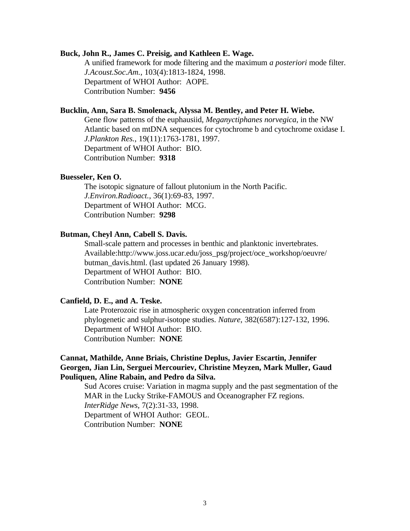### **Buck, John R., James C. Preisig, and Kathleen E. Wage.**

A unified framework for mode filtering and the maximum *a posteriori* mode filter. *J.Acoust.Soc.Am.*, 103(4):1813-1824, 1998. Department of WHOI Author: AOPE. Contribution Number: **9456**

## **Bucklin, Ann, Sara B. Smolenack, Alyssa M. Bentley, and Peter H. Wiebe.**

Gene flow patterns of the euphausiid, *Meganyctiphanes norvegica*, in the NW Atlantic based on mtDNA sequences for cytochrome b and cytochrome oxidase I. *J.Plankton Res.*, 19(11):1763-1781, 1997. Department of WHOI Author: BIO. Contribution Number: **9318**

## **Buesseler, Ken O.**

The isotopic signature of fallout plutonium in the North Pacific. *J.Environ.Radioact.*, 36(1):69-83, 1997. Department of WHOI Author: MCG. Contribution Number: **9298**

## **Butman, Cheyl Ann, Cabell S. Davis.**

Small-scale pattern and processes in benthic and planktonic invertebrates. Available:http://www.joss.ucar.edu/joss\_psg/project/oce\_workshop/oeuvre/ butman\_davis.html. (last updated 26 January 1998). Department of WHOI Author: BIO. Contribution Number: **NONE**

## **Canfield, D. E., and A. Teske.**

Late Proterozoic rise in atmospheric oxygen concentration inferred from phylogenetic and sulphur-isotope studies. *Nature*, 382(6587):127-132, 1996. Department of WHOI Author: BIO. Contribution Number: **NONE**

## **Cannat, Mathilde, Anne Briais, Christine Deplus, Javier Escartin, Jennifer Georgen, Jian Lin, Serguei Mercouriev, Christine Meyzen, Mark Muller, Gaud Pouliquen, Aline Rabain, and Pedro da Silva.**

Sud Acores cruise: Variation in magma supply and the past segmentation of the MAR in the Lucky Strike-FAMOUS and Oceanographer FZ regions. *InterRidge News*, 7(2):31-33, 1998. Department of WHOI Author: GEOL. Contribution Number: **NONE**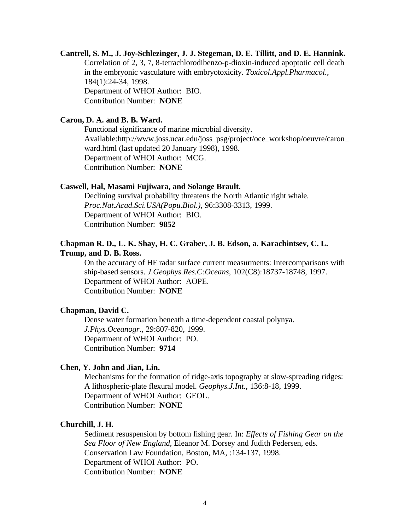## **Cantrell, S. M., J. Joy-Schlezinger, J. J. Stegeman, D. E. Tillitt, and D. E. Hannink.** Correlation of 2, 3, 7, 8-tetrachlorodibenzo-p-dioxin-induced apoptotic cell death in the embryonic vasculature with embryotoxicity. *Toxicol.Appl.Pharmacol.*, 184(1):24-34, 1998. Department of WHOI Author: BIO. Contribution Number: **NONE**

## **Caron, D. A. and B. B. Ward.**

Functional significance of marine microbial diversity. Available:http://www.joss.ucar.edu/joss\_psg/project/oce\_workshop/oeuvre/caron\_ ward.html (last updated 20 January 1998), 1998. Department of WHOI Author: MCG. Contribution Number: **NONE**

### **Caswell, Hal, Masami Fujiwara, and Solange Brault.**

Declining survival probability threatens the North Atlantic right whale. *Proc.Nat.Acad.Sci.USA(Popu.Biol.)*, 96:3308-3313, 1999. Department of WHOI Author: BIO. Contribution Number: **9852**

## **Chapman R. D., L. K. Shay, H. C. Graber, J. B. Edson, a. Karachintsev, C. L. Trump, and D. B. Ross.**

On the accuracy of HF radar surface current measurments: Intercomparisons with ship-based sensors. *J.Geophys.Res.C:Oceans*, 102(C8):18737-18748, 1997. Department of WHOI Author: AOPE. Contribution Number: **NONE**

## **Chapman, David C.**

Dense water formation beneath a time-dependent coastal polynya. *J.Phys.Oceanogr.*, 29:807-820, 1999. Department of WHOI Author: PO. Contribution Number: **9714**

## **Chen, Y. John and Jian, Lin.**

Mechanisms for the formation of ridge-axis topography at slow-spreading ridges: A lithospheric-plate flexural model. *Geophys.J.Int.*, 136:8-18, 1999. Department of WHOI Author: GEOL. Contribution Number: **NONE**

### **Churchill, J. H.**

Sediment resuspension by bottom fishing gear. In: *Effects of Fishing Gear on the Sea Floor of New England*, Eleanor M. Dorsey and Judith Pedersen, eds. Conservation Law Foundation, Boston, MA, :134-137, 1998. Department of WHOI Author: PO. Contribution Number: **NONE**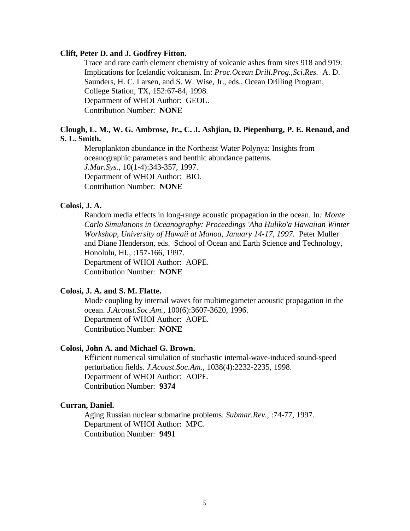### **Clift, Peter D. and J. Godfrey Fitton.**

Trace and rare earth element chemistry of volcanic ashes from sites 918 and 919: Implications for Icelandic volcanism. In: *Proc.Ocean Drill.Prog.,Sci.Res.* A. D. Saunders, H. C. Larsen, and S. W. Wise, Jr., eds., Ocean Drilling Program, College Station, TX, 152:67-84, 1998. Department of WHOI Author: GEOL. Contribution Number: **NONE**

### **Clough, L. M., W. G. Ambrose, Jr., C. J. Ashjian, D. Piepenburg, P. E. Renaud, and S. L. Smith.**

Meroplankton abundance in the Northeast Water Polynya: Insights from oceanographic parameters and benthic abundance patterns. *J.Mar.Sys.*, 10(1-4):343-357, 1997. Department of WHOI Author: BIO. Contribution Number: **NONE**

### **Colosi, J. A.**

Random media effects in long-range acoustic propagation in the ocean. In*: Monte Carlo Simulations in Oceanography: Proceedings 'Aha Huliko'a Hawaiian Winter Workshop, University of Hawaii at Manoa, January 14-17, 1997.* Peter Muller and Diane Henderson, eds. School of Ocean and Earth Science and Technology, Honolulu, HI*.*, :157-166, 1997. Department of WHOI Author: AOPE. Contribution Number: **NONE**

#### **Colosi, J. A. and S. M. Flatte.**

Mode coupling by internal waves for multimegameter acoustic propagation in the ocean. *J.Acoust.Soc.Am.*, 100(6):3607-3620, 1996. Department of WHOI Author: AOPE. Contribution Number: **NONE**

### **Colosi, John A. and Michael G. Brown.**

Efficient numerical simulation of stochastic internal-wave-induced sound-speed perturbation fields. *J.Acoust.Soc.Am.*, 1038(4):2232-2235, 1998. Department of WHOI Author: AOPE. Contribution Number: **9374**

### **Curran, Daniel.**

Aging Russian nuclear submarine problems. *Submar.Rev.*, :74-77, 1997. Department of WHOI Author: MPC. Contribution Number: **9491**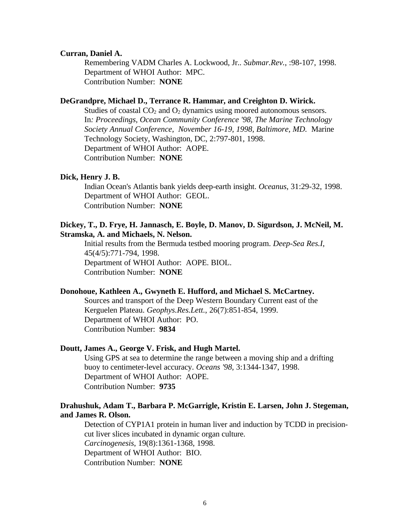### **Curran, Daniel A.**

Remembering VADM Charles A. Lockwood, Jr.. *Submar.Rev.*, :98-107, 1998. Department of WHOI Author: MPC. Contribution Number: **NONE**

### **DeGrandpre, Michael D., Terrance R. Hammar, and Creighton D. Wirick.**

Studies of coastal  $CO<sub>2</sub>$  and  $O<sub>2</sub>$  dynamics using moored autonomous sensors. In*: Proceedings, Ocean Community Conference '98, The Marine Technology Society Annual Conference, November 16-19, 1998, Baltimore, MD.* Marine Technology Society, Washington, DC, 2:797-801, 1998. Department of WHOI Author: AOPE. Contribution Number: **NONE**

### **Dick, Henry J. B.**

Indian Ocean's Atlantis bank yields deep-earth insight. *Oceanus*, 31:29-32, 1998. Department of WHOI Author: GEOL. Contribution Number: **NONE**

## **Dickey, T., D. Frye, H. Jannasch, E. Boyle, D. Manov, D. Sigurdson, J. McNeil, M. Stramska, A. and Michaels, N. Nelson.**

Initial results from the Bermuda testbed mooring program. *Deep-Sea Res.I*, 45(4/5):771-794, 1998. Department of WHOI Author: AOPE. BIOL. Contribution Number: **NONE**

### **Donohoue, Kathleen A., Gwyneth E. Hufford, and Michael S. McCartney.**

Sources and transport of the Deep Western Boundary Current east of the Kerguelen Plateau. *Geophys.Res.Lett.*, 26(7):851-854, 1999. Department of WHOI Author: PO. Contribution Number: **9834**

#### **Doutt, James A., George V. Frisk, and Hugh Martel.**

Using GPS at sea to determine the range between a moving ship and a drifting buoy to centimeter-level accuracy. *Oceans '98*, 3:1344-1347, 1998. Department of WHOI Author: AOPE. Contribution Number: **9735**

## **Drahushuk, Adam T., Barbara P. McGarrigle, Kristin E. Larsen, John J. Stegeman, and James R. Olson.**

Detection of CYP1A1 protein in human liver and induction by TCDD in precisioncut liver slices incubated in dynamic organ culture. *Carcinogenesis*, 19(8):1361-1368, 1998. Department of WHOI Author: BIO. Contribution Number: **NONE**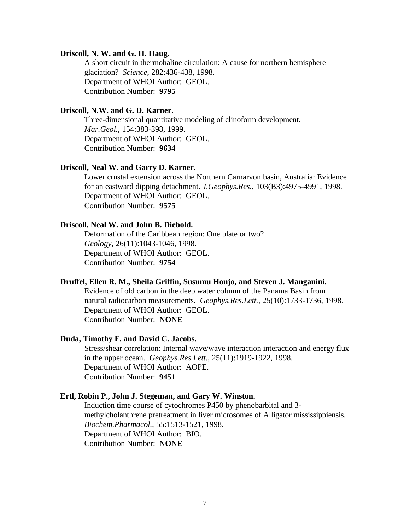#### **Driscoll, N. W. and G. H. Haug.**

A short circuit in thermohaline circulation: A cause for northern hemisphere glaciation? *Science*, 282:436-438, 1998. Department of WHOI Author: GEOL. Contribution Number: **9795**

### **Driscoll, N.W. and G. D. Karner.**

Three-dimensional quantitative modeling of clinoform development. *Mar.Geol.*, 154:383-398, 1999. Department of WHOI Author: GEOL. Contribution Number: **9634**

#### **Driscoll, Neal W. and Garry D. Karner.**

Lower crustal extension across the Northern Carnarvon basin, Australia: Evidence for an eastward dipping detachment. *J.Geophys.Res.*, 103(B3):4975-4991, 1998. Department of WHOI Author: GEOL. Contribution Number: **9575**

### **Driscoll, Neal W. and John B. Diebold.**

Deformation of the Caribbean region: One plate or two? *Geology*, 26(11):1043-1046, 1998. Department of WHOI Author: GEOL. Contribution Number: **9754**

### **Druffel, Ellen R. M., Sheila Griffin, Susumu Honjo, and Steven J. Manganini.**

Evidence of old carbon in the deep water column of the Panama Basin from natural radiocarbon measurements. *Geophys.Res.Lett.*, 25(10):1733-1736, 1998. Department of WHOI Author: GEOL. Contribution Number: **NONE**

### **Duda, Timothy F. and David C. Jacobs.**

Stress/shear correlation: Internal wave/wave interaction interaction and energy flux in the upper ocean. *Geophys.Res.Lett.*, 25(11):1919-1922, 1998. Department of WHOI Author: AOPE. Contribution Number: **9451**

### **Ertl, Robin P., John J. Stegeman, and Gary W. Winston.**

Induction time course of cytochromes P450 by phenobarbital and 3 methylcholanthrene pretreatment in liver microsomes of Alligator mississippiensis. *Biochem.Pharmacol.*, 55:1513-1521, 1998. Department of WHOI Author: BIO. Contribution Number: **NONE**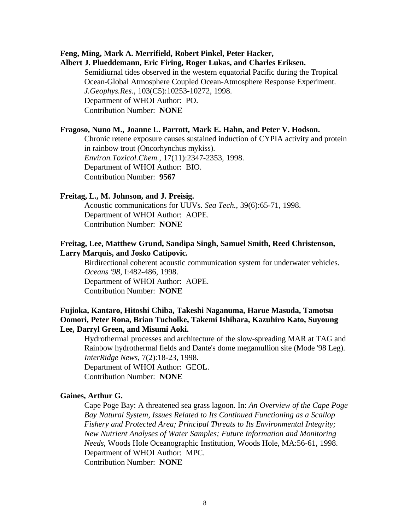## **Feng, Ming, Mark A. Merrifield, Robert Pinkel, Peter Hacker,**

### **Albert J. Plueddemann, Eric Firing, Roger Lukas, and Charles Eriksen.**

Semidiurnal tides observed in the western equatorial Pacific during the Tropical Ocean-Global Atmosphere Coupled Ocean-Atmosphere Response Experiment. *J.Geophys.Res.*, 103(C5):10253-10272, 1998. Department of WHOI Author: PO. Contribution Number: **NONE**

## **Fragoso, Nuno M., Joanne L. Parrott, Mark E. Hahn, and Peter V. Hodson.**

Chronic retene exposure causes sustained induction of CYPIA activity and protein in rainbow trout (Oncorhynchus mykiss). *Environ.Toxicol.Chem.*, 17(11):2347-2353, 1998. Department of WHOI Author: BIO. Contribution Number: **9567**

### **Freitag, L., M. Johnson, and J. Preisig.**

Acoustic communications for UUVs. *Sea Tech.*, 39(6):65-71, 1998. Department of WHOI Author: AOPE. Contribution Number: **NONE**

## **Freitag, Lee, Matthew Grund, Sandipa Singh, Samuel Smith, Reed Christenson, Larry Marquis, and Josko Catipovic.**

Birdirectional coherent acoustic communication system for underwater vehicles. *Oceans '98*, I:482-486, 1998. Department of WHOI Author: AOPE. Contribution Number: **NONE**

## **Fujioka, Kantaro, Hitoshi Chiba, Takeshi Naganuma, Harue Masuda, Tamotsu Oomori, Peter Rona, Brian Tucholke, Takemi Ishihara, Kazuhiro Kato, Suyoung Lee, Darryl Green, and Misumi Aoki.**

Hydrothermal processes and architecture of the slow-spreading MAR at TAG and Rainbow hydrothermal fields and Dante's dome megamullion site (Mode '98 Leg). *InterRidge News*, 7(2):18-23, 1998.

Department of WHOI Author: GEOL. Contribution Number: **NONE**

#### **Gaines, Arthur G.**

Cape Poge Bay: A threatened sea grass lagoon. In: *An Overview of the Cape Poge Bay Natural System, Issues Related to Its Continued Functioning as a Scallop Fishery and Protected Area; Principal Threats to Its Environmental Integrity; New Nutrient Analyses of Water Samples; Future Information and Monitoring Needs*, Woods Hole Oceanographic Institution, Woods Hole, MA:56-61, 1998. Department of WHOI Author: MPC. Contribution Number: **NONE**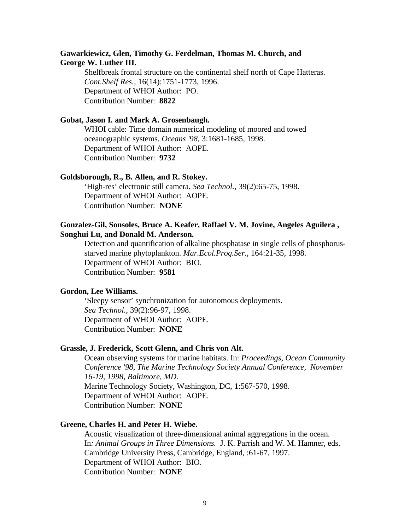## **Gawarkiewicz, Glen, Timothy G. Ferdelman, Thomas M. Church, and George W. Luther III.**

Shelfbreak frontal structure on the continental shelf north of Cape Hatteras. *Cont.Shelf Res.*, 16(14):1751-1773, 1996. Department of WHOI Author: PO. Contribution Number: **8822**

### **Gobat, Jason I. and Mark A. Grosenbaugh.**

WHOI cable: Time domain numerical modeling of moored and towed oceanographic systems. *Oceans '98*, 3:1681-1685, 1998. Department of WHOI Author: AOPE. Contribution Number: **9732**

## **Goldsborough, R., B. Allen, and R. Stokey.**

'High-res' electronic still camera. *Sea Technol.*, 39(2):65-75, 1998. Department of WHOI Author: AOPE. Contribution Number: **NONE**

## **Gonzalez-Gil, Sonsoles, Bruce A. Keafer, Raffael V. M. Jovine, Angeles Aguilera , Songhui Lu, and Donald M. Anderson.**

Detection and quantification of alkaline phosphatase in single cells of phosphorusstarved marine phytoplankton. *Mar.Ecol.Prog.Ser.*, 164:21-35, 1998. Department of WHOI Author: BIO. Contribution Number: **9581**

## **Gordon, Lee Williams.**

'Sleepy sensor' synchronization for autonomous deployments. *Sea Technol.*, 39(2):96-97, 1998. Department of WHOI Author: AOPE. Contribution Number: **NONE**

### **Grassle, J. Frederick, Scott Glenn, and Chris von Alt.**

Ocean observing systems for marine habitats. In: *Proceedings, Ocean Community Conference '98, The Marine Technology Society Annual Conference, November 16-19, 1998, Baltimore, MD.* Marine Technology Society, Washington, DC, 1:567-570, 1998. Department of WHOI Author: AOPE. Contribution Number: **NONE**

## **Greene, Charles H. and Peter H. Wiebe.**

Acoustic visualization of three-dimensional animal aggregations in the ocean. In*: Animal Groups in Three Dimensions.* J. K. Parrish and W. M. Hamner, eds. Cambridge University Press, Cambridge, England, :61-67, 1997. Department of WHOI Author: BIO. Contribution Number: **NONE**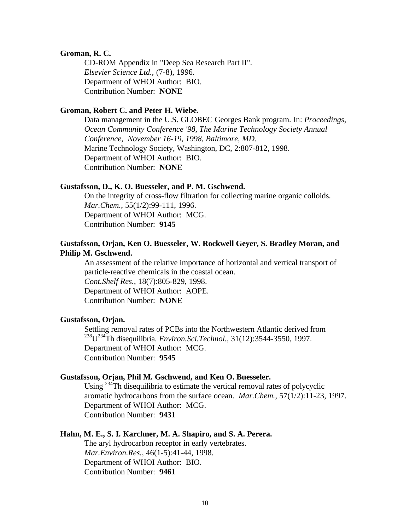## **Groman, R. C.**

CD-ROM Appendix in "Deep Sea Research Part II". *Elsevier Science Ltd.*, (7-8), 1996. Department of WHOI Author: BIO. Contribution Number: **NONE**

## **Groman, Robert C. and Peter H. Wiebe.**

Data management in the U.S. GLOBEC Georges Bank program. In: *Proceedings, Ocean Community Conference '98, The Marine Technology Society Annual Conference, November 16-19, 1998, Baltimore, MD.* Marine Technology Society, Washington, DC, 2:807-812, 1998. Department of WHOI Author: BIO. Contribution Number: **NONE**

### **Gustafsson, D., K. O. Buesseler, and P. M. Gschwend.**

On the integrity of cross-flow filtration for collecting marine organic colloids. *Mar.Chem.*, 55(1/2):99-111, 1996. Department of WHOI Author: MCG. Contribution Number: **9145**

## **Gustafsson, Orjan, Ken O. Buesseler, W. Rockwell Geyer, S. Bradley Moran, and Philip M. Gschwend.**

An assessment of the relative importance of horizontal and vertical transport of particle-reactive chemicals in the coastal ocean. *Cont.Shelf Res.*, 18(7):805-829, 1998. Department of WHOI Author: AOPE. Contribution Number: **NONE**

### **Gustafsson, Orjan.**

Settling removal rates of PCBs into the Northwestern Atlantic derived from <sup>238</sup>U <sup>234</sup>Th disequilibria. *Environ.Sci.Technol.*, 31(12):3544-3550, 1997. Department of WHOI Author: MCG. Contribution Number: **9545**

### **Gustafsson, Orjan, Phil M. Gschwend, and Ken O. Buesseler.**

Using  $234$ Th disequilibria to estimate the vertical removal rates of polycyclic aromatic hydrocarbons from the surface ocean. *Mar.Chem.*, 57(1/2):11-23, 1997. Department of WHOI Author: MCG. Contribution Number: **9431**

#### **Hahn, M. E., S. I. Karchner, M. A. Shapiro, and S. A. Perera.**

The aryl hydrocarbon receptor in early vertebrates. *Mar.Environ.Res.*, 46(1-5):41-44, 1998. Department of WHOI Author: BIO. Contribution Number: **9461**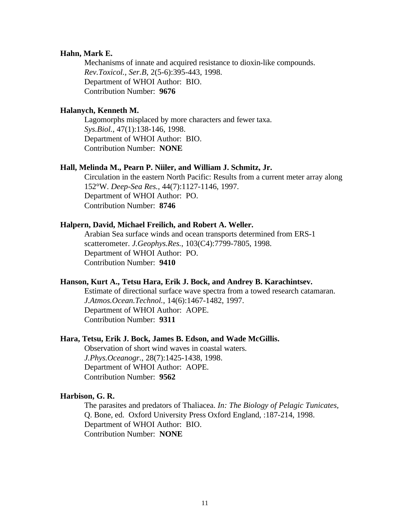### **Hahn, Mark E.**

Mechanisms of innate and acquired resistance to dioxin-like compounds. *Rev.Toxicol., Ser.B*, 2(5-6):395-443, 1998. Department of WHOI Author: BIO. Contribution Number: **9676**

## **Halanych, Kenneth M.**

Lagomorphs misplaced by more characters and fewer taxa. *Sys.Biol.*, 47(1):138-146, 1998. Department of WHOI Author: BIO. Contribution Number: **NONE**

### **Hall, Melinda M., Pearn P. Niiler, and William J. Schmitz, Jr.**

Circulation in the eastern North Pacific: Results from a current meter array along 152°W. *Deep-Sea Res.*, 44(7):1127-1146, 1997. Department of WHOI Author: PO. Contribution Number: **8746**

### **Halpern, David, Michael Freilich, and Robert A. Weller.**

Arabian Sea surface winds and ocean transports determined from ERS-1 scatterometer. *J.Geophys.Res.*, 103(C4):7799-7805, 1998. Department of WHOI Author: PO. Contribution Number: **9410**

#### **Hanson, Kurt A., Tetsu Hara, Erik J. Bock, and Andrey B. Karachintsev.**

Estimate of directional surface wave spectra from a towed research catamaran. *J.Atmos.Ocean.Technol.*, 14(6):1467-1482, 1997. Department of WHOI Author: AOPE. Contribution Number: **9311**

### **Hara, Tetsu, Erik J. Bock, James B. Edson, and Wade McGillis.**

Observation of short wind waves in coastal waters. *J.Phys.Oceanogr.*, 28(7):1425-1438, 1998. Department of WHOI Author: AOPE. Contribution Number: **9562**

### **Harbison, G. R.**

The parasites and predators of Thaliacea. *In: The Biology of Pelagic Tunicates,* Q. Bone, ed. Oxford University Press Oxford England, :187-214, 1998. Department of WHOI Author: BIO. Contribution Number: **NONE**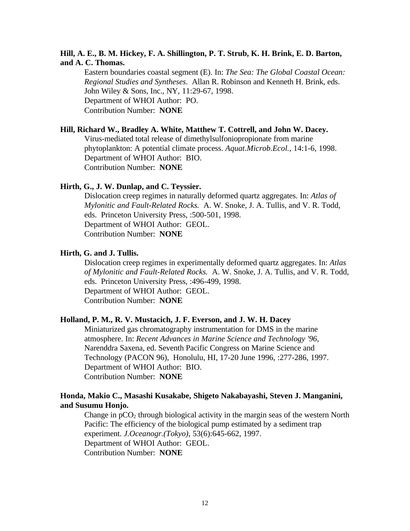## **Hill, A. E., B. M. Hickey, F. A. Shillington, P. T. Strub, K. H. Brink, E. D. Barton, and A. C. Thomas.**

Eastern boundaries coastal segment (E). In: *The Sea: The Global Coastal Ocean: Regional Studies and Syntheses*. Allan R. Robinson and Kenneth H. Brink, eds. John Wiley & Sons, Inc., NY, 11:29-67, 1998. Department of WHOI Author: PO. Contribution Number: **NONE**

## **Hill, Richard W., Bradley A. White, Matthew T. Cottrell, and John W. Dacey.**

Virus-mediated total release of dimethylsulfoniopropionate from marine phytoplankton: A potential climate process. *Aquat.Microb.Ecol.*, 14:1-6, 1998. Department of WHOI Author: BIO. Contribution Number: **NONE**

## **Hirth, G., J. W. Dunlap, and C. Teyssier.**

Dislocation creep regimes in naturally deformed quartz aggregates. In: *Atlas of Mylonitic and Fault-Related Rocks.* A. W. Snoke, J. A. Tullis, and V. R. Todd, eds. Princeton University Press, :500-501, 1998. Department of WHOI Author: GEOL. Contribution Number: **NONE**

### **Hirth, G. and J. Tullis.**

Dislocation creep regimes in experimentally deformed quartz aggregates. In: *Atlas of Mylonitic and Fault-Related Rocks.* A. W. Snoke, J. A. Tullis, and V. R. Todd, eds. Princeton University Press, :496-499, 1998. Department of WHOI Author: GEOL. Contribution Number: **NONE**

## **Holland, P. M., R. V. Mustacich, J. F. Everson, and J. W. H. Dacey**

Miniaturized gas chromatography instrumentation for DMS in the marine atmosphere. In: *Recent Advances in Marine Science and Technology '96,* Narenddra Saxena, ed. Seventh Pacific Congress on Marine Science and Technology (PACON 96), Honolulu, HI, 17-20 June 1996, :277-286, 1997. Department of WHOI Author: BIO. Contribution Number: **NONE**

## **Honda, Makio C., Masashi Kusakabe, Shigeto Nakabayashi, Steven J. Manganini, and Susumu Honjo.**

Change in  $pCO<sub>2</sub>$  through biological activity in the margin seas of the western North Pacific: The efficiency of the biological pump estimated by a sediment trap experiment. *J.Oceanogr.(Tokyo)*, 53(6):645-662, 1997. Department of WHOI Author: GEOL. Contribution Number: **NONE**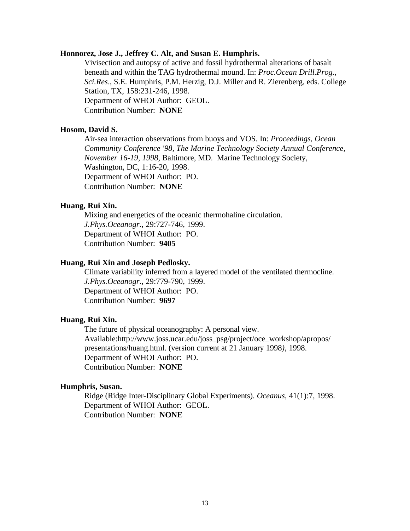### **Honnorez, Jose J., Jeffrey C. Alt, and Susan E. Humphris.**

Vivisection and autopsy of active and fossil hydrothermal alterations of basalt beneath and within the TAG hydrothermal mound. In: *Proc.Ocean Drill.Prog., Sci.Res*., S.E. Humphris, P.M. Herzig, D.J. Miller and R. Zierenberg, eds. College Station, TX, 158:231-246, 1998. Department of WHOI Author: GEOL. Contribution Number: **NONE**

### **Hosom, David S.**

Air-sea interaction observations from buoys and VOS*.* In: *Proceedings, Ocean Community Conference '98, The Marine Technology Society Annual Conference, November 16-19, 1998*, Baltimore, MD. Marine Technology Society, Washington, DC, 1:16-20, 1998. Department of WHOI Author: PO. Contribution Number: **NONE**

## **Huang, Rui Xin.**

Mixing and energetics of the oceanic thermohaline circulation. *J.Phys.Oceanogr.*, 29:727-746, 1999. Department of WHOI Author: PO. Contribution Number: **9405**

### **Huang, Rui Xin and Joseph Pedlosky.**

Climate variability inferred from a layered model of the ventilated thermocline. *J.Phys.Oceanogr.*, 29:779-790, 1999. Department of WHOI Author: PO. Contribution Number: **9697**

### **Huang, Rui Xin.**

The future of physical oceanography: A personal view. Available:http://www.joss.ucar.edu/joss\_psg/project/oce\_workshop/apropos/ presentations/huang.html. (version current at 21 January 1998*)*, 1998. Department of WHOI Author: PO. Contribution Number: **NONE**

## **Humphris, Susan.**

Ridge (Ridge Inter-Disciplinary Global Experiments). *Oceanus*, 41(1):7, 1998. Department of WHOI Author: GEOL. Contribution Number: **NONE**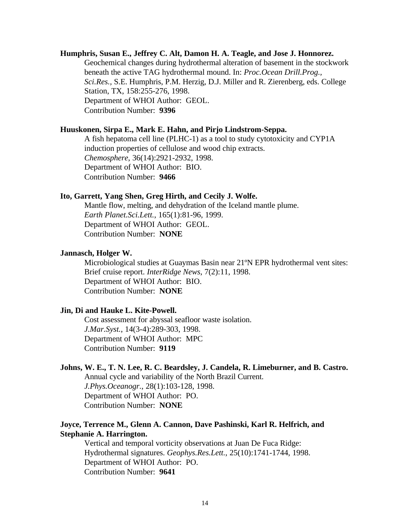## **Humphris, Susan E., Jeffrey C. Alt, Damon H. A. Teagle, and Jose J. Honnorez.**

Geochemical changes during hydrothermal alteration of basement in the stockwork beneath the active TAG hydrothermal mound. In: *Proc.Ocean Drill.Prog., Sci.Res.,* S.E. Humphris, P.M. Herzig, D.J. Miller and R. Zierenberg, eds. College Station, TX, 158:255-276, 1998. Department of WHOI Author: GEOL. Contribution Number: **9396**

## **Huuskonen, Sirpa E., Mark E. Hahn, and Pirjo Lindstrom-Seppa.**

A fish hepatoma cell line (PLHC-1) as a tool to study cytotoxicity and CYP1A induction properties of cellulose and wood chip extracts. *Chemosphere*, 36(14):2921-2932, 1998. Department of WHOI Author: BIO. Contribution Number: **9466**

### **Ito, Garrett, Yang Shen, Greg Hirth, and Cecily J. Wolfe.**

Mantle flow, melting, and dehydration of the Iceland mantle plume. *Earth Planet.Sci.Lett.*, 165(1):81-96, 1999. Department of WHOI Author: GEOL. Contribution Number: **NONE**

### **Jannasch, Holger W.**

Microbiological studies at Guaymas Basin near 21ºN EPR hydrothermal vent sites: Brief cruise report. *InterRidge News*, 7(2):11, 1998. Department of WHOI Author: BIO. Contribution Number: **NONE**

## **Jin, Di and Hauke L. Kite-Powell.**

Cost assessment for abyssal seafloor waste isolation. *J.Mar.Syst.*, 14(3-4):289-303, 1998. Department of WHOI Author: MPC Contribution Number: **9119**

## **Johns, W. E., T. N. Lee, R. C. Beardsley, J. Candela, R. Limeburner, and B. Castro.**

Annual cycle and variability of the North Brazil Current. *J.Phys.Oceanogr.*, 28(1):103-128, 1998. Department of WHOI Author: PO. Contribution Number: **NONE**

## **Joyce, Terrence M., Glenn A. Cannon, Dave Pashinski, Karl R. Helfrich, and Stephanie A. Harrington.**

Vertical and temporal vorticity observations at Juan De Fuca Ridge: Hydrothermal signatures. *Geophys.Res.Lett.*, 25(10):1741-1744, 1998. Department of WHOI Author: PO. Contribution Number: **9641**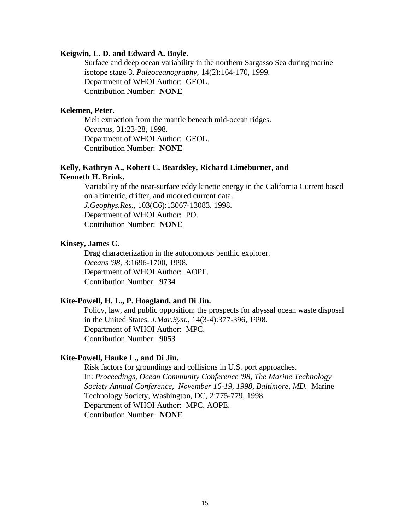#### **Keigwin, L. D. and Edward A. Boyle.**

Surface and deep ocean variability in the northern Sargasso Sea during marine isotope stage 3. *Paleoceanography*, 14(2):164-170, 1999. Department of WHOI Author: GEOL. Contribution Number: **NONE**

## **Kelemen, Peter.**

Melt extraction from the mantle beneath mid-ocean ridges. *Oceanus*, 31:23-28, 1998. Department of WHOI Author: GEOL. Contribution Number: **NONE**

## **Kelly, Kathryn A., Robert C. Beardsley, Richard Limeburner, and Kenneth H. Brink.**

Variability of the near-surface eddy kinetic energy in the California Current based on altimetric, drifter, and moored current data. *J.Geophys.Res.*, 103(C6):13067-13083, 1998. Department of WHOI Author: PO. Contribution Number: **NONE**

## **Kinsey, James C.**

Drag characterization in the autonomous benthic explorer. *Oceans '98*, 3:1696-1700, 1998. Department of WHOI Author: AOPE. Contribution Number: **9734**

## **Kite-Powell, H. L., P. Hoagland, and Di Jin.**

Policy, law, and public opposition: the prospects for abyssal ocean waste disposal in the United States. *J.Mar.Syst.*, 14(3-4):377-396, 1998. Department of WHOI Author: MPC. Contribution Number: **9053**

#### **Kite-Powell, Hauke L., and Di Jin.**

Risk factors for groundings and collisions in U.S. port approaches. In: *Proceedings, Ocean Community Conference '98, The Marine Technology Society Annual Conference, November 16-19, 1998, Baltimore, MD.* Marine Technology Society, Washington, DC, 2:775-779, 1998. Department of WHOI Author: MPC, AOPE. Contribution Number: **NONE**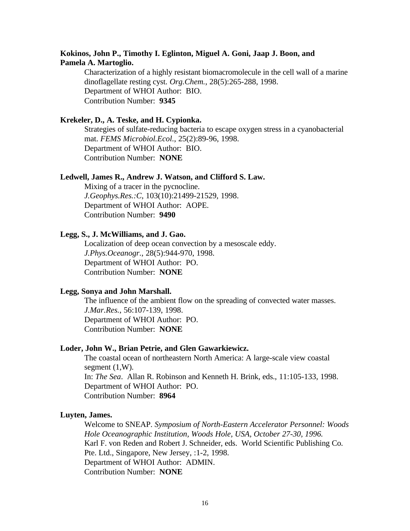## **Kokinos, John P., Timothy I. Eglinton, Miguel A. Goni, Jaap J. Boon, and Pamela A. Martoglio.**

Characterization of a highly resistant biomacromolecule in the cell wall of a marine dinoflagellate resting cyst. *Org.Chem.*, 28(5):265-288, 1998. Department of WHOI Author: BIO. Contribution Number: **9345**

## **Krekeler, D., A. Teske, and H. Cypionka.**

Strategies of sulfate-reducing bacteria to escape oxygen stress in a cyanobacterial mat. *FEMS Microbiol.Ecol.*, 25(2):89-96, 1998. Department of WHOI Author: BIO. Contribution Number: **NONE**

### **Ledwell, James R., Andrew J. Watson, and Clifford S. Law.**

Mixing of a tracer in the pycnocline. *J.Geophys.Res.:C*, 103(10):21499-21529, 1998. Department of WHOI Author: AOPE. Contribution Number: **9490**

## **Legg, S., J. McWilliams, and J. Gao.**

Localization of deep ocean convection by a mesoscale eddy. *J.Phys.Oceanogr.*, 28(5):944-970, 1998. Department of WHOI Author: PO. Contribution Number: **NONE**

### **Legg, Sonya and John Marshall.**

The influence of the ambient flow on the spreading of convected water masses. *J.Mar.Res.*, 56:107-139, 1998. Department of WHOI Author: PO. Contribution Number: **NONE**

### **Loder, John W., Brian Petrie, and Glen Gawarkiewicz.**

The coastal ocean of northeastern North America: A large-scale view coastal segment (1,W). In: *The Sea*. Allan R. Robinson and Kenneth H. Brink, eds., 11:105-133, 1998. Department of WHOI Author: PO. Contribution Number: **8964**

### **Luyten, James.**

Welcome to SNEAP. *Symposium of North-Eastern Accelerator Personnel: Woods Hole Oceanographic Institution, Woods Hole, USA, October 27-30, 1996.* Karl F. von Reden and Robert J. Schneider, eds. World Scientific Publishing Co. Pte. Ltd., Singapore, New Jersey, :1-2, 1998. Department of WHOI Author: ADMIN. Contribution Number: **NONE**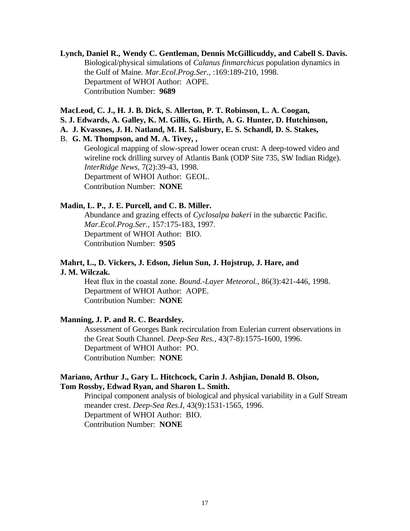# **Lynch, Daniel R., Wendy C. Gentleman, Dennis McGillicuddy, and Cabell S. Davis.**

Biological/physical simulations of *Calanus finmarchicus* population dynamics in the Gulf of Maine. *Mar.Ecol.Prog.Ser.*, :169:189-210, 1998. Department of WHOI Author: AOPE. Contribution Number: **9689**

# **MacLeod, C. J., H. J. B. Dick, S. Allerton, P. T. Robinson, L. A. Coogan,**

**S. J. Edwards, A. Galley, K. M. Gillis, G. Hirth, A. G. Hunter, D. Hutchinson,**

## **A. J. Kvassnes, J. H. Natland, M. H. Salisbury, E. S. Schandl, D. S. Stakes,**

## B. **G. M. Thompson, and M. A. Tivey, ,**

Geological mapping of slow-spread lower ocean crust: A deep-towed video and wireline rock drilling survey of Atlantis Bank (ODP Site 735, SW Indian Ridge). *InterRidge News*, 7(2):39-43, 1998. Department of WHOI Author: GEOL. Contribution Number: **NONE**

## **Madin, L. P., J. E. Purcell, and C. B. Miller.**

Abundance and grazing effects of *Cyclosalpa bakeri* in the subarctic Pacific. *Mar.Ecol.Prog.Ser.*, 157:175-183, 1997. Department of WHOI Author: BIO. Contribution Number: **9505**

## **Mahrt, L., D. Vickers, J. Edson, Jielun Sun, J. Hojstrup, J. Hare, and J. M. Wilczak.**

Heat flux in the coastal zone. *Bound.-Layer Meteorol.*, 86(3):421-446, 1998. Department of WHOI Author: AOPE. Contribution Number: **NONE**

## **Manning, J. P. and R. C. Beardsley.**

Assessment of Georges Bank recirculation from Eulerian current observations in the Great South Channel. *Deep-Sea Res.*, 43(7-8):1575-1600, 1996. Department of WHOI Author: PO. Contribution Number: **NONE**

## **Mariano, Arthur J., Gary L. Hitchcock, Carin J. Ashjian, Donald B. Olson, Tom Rossby, Edwad Ryan, and Sharon L. Smith.**

Principal component analysis of biological and physical variability in a Gulf Stream meander crest. *Deep-Sea Res.I*, 43(9):1531-1565, 1996. Department of WHOI Author: BIO. Contribution Number: **NONE**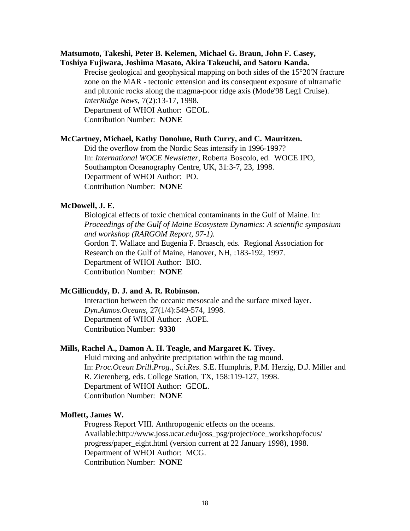## **Matsumoto, Takeshi, Peter B. Kelemen, Michael G. Braun, John F. Casey, Toshiya Fujiwara, Joshima Masato, Akira Takeuchi, and Satoru Kanda.**

Precise geological and geophysical mapping on both sides of the 15°20'N fracture zone on the MAR - tectonic extension and its consequent exposure of ultramafic and plutonic rocks along the magma-poor ridge axis (Mode'98 Leg1 Cruise). *InterRidge News*, 7(2):13-17, 1998.

Department of WHOI Author: GEOL.

Contribution Number: **NONE**

## **McCartney, Michael, Kathy Donohue, Ruth Curry, and C. Mauritzen.**

Did the overflow from the Nordic Seas intensify in 1996-1997? In: *International WOCE Newsletter*, Roberta Boscolo, ed. WOCE IPO, Southampton Oceanography Centre, UK, 31:3-7, 23, 1998. Department of WHOI Author: PO. Contribution Number: **NONE**

## **McDowell, J. E.**

Biological effects of toxic chemical contaminants in the Gulf of Maine. In: *Proceedings of the Gulf of Maine Ecosystem Dynamics: A scientific symposium and workshop (RARGOM Report, 97-1).* Gordon T. Wallace and Eugenia F. Braasch, eds. Regional Association for Research on the Gulf of Maine, Hanover, NH, :183-192, 1997. Department of WHOI Author: BIO. Contribution Number: **NONE**

## **McGillicuddy, D. J. and A. R. Robinson.**

Interaction between the oceanic mesoscale and the surface mixed layer. *Dyn.Atmos.Oceans*, 27(1/4):549-574, 1998. Department of WHOI Author: AOPE. Contribution Number: **9330**

## **Mills, Rachel A., Damon A. H. Teagle, and Margaret K. Tivey.**

Fluid mixing and anhydrite precipitation within the tag mound. In: *Proc.Ocean Drill.Prog., Sci.Res*. S.E. Humphris, P.M. Herzig, D.J. Miller and R. Zierenberg, eds. College Station, TX, 158:119-127, 1998. Department of WHOI Author: GEOL. Contribution Number: **NONE**

## **Moffett, James W.**

Progress Report VIII. Anthropogenic effects on the oceans. Available:http://www.joss.ucar.edu/joss\_psg/project/oce\_workshop/focus/ progress/paper\_eight.html (version current at 22 January 1998), 1998. Department of WHOI Author: MCG. Contribution Number: **NONE**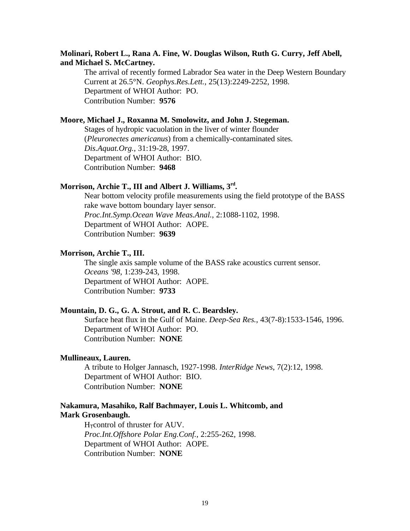## **Molinari, Robert L., Rana A. Fine, W. Douglas Wilson, Ruth G. Curry, Jeff Abell, and Michael S. McCartney.**

The arrival of recently formed Labrador Sea water in the Deep Western Boundary Current at 26.5°N. *Geophys.Res.Lett.*, 25(13):2249-2252, 1998. Department of WHOI Author: PO. Contribution Number: **9576**

### **Moore, Michael J., Roxanna M. Smolowitz, and John J. Stegeman.**

Stages of hydropic vacuolation in the liver of winter flounder (*Pleuronectes americanus*) from a chemically-contaminated sites. *Dis.Aquat.Org.*, 31:19-28, 1997. Department of WHOI Author: BIO. Contribution Number: **9468**

## **Morrison, Archie T., III and Albert J. Williams, 3rd .**

Near bottom velocity profile measurements using the field prototype of the BASS rake wave bottom boundary layer sensor. *Proc.Int.Symp.Ocean Wave Meas.Anal.*, 2:1088-1102, 1998. Department of WHOI Author: AOPE. Contribution Number: **9639**

## **Morrison, Archie T., III.**

The single axis sample volume of the BASS rake acoustics current sensor. *Oceans '98*, 1:239-243, 1998. Department of WHOI Author: AOPE. Contribution Number: **9733**

### **Mountain, D. G., G. A. Strout, and R. C. Beardsley.**

Surface heat flux in the Gulf of Maine. *Deep-Sea Res.*, 43(7-8):1533-1546, 1996. Department of WHOI Author: PO. Contribution Number: **NONE**

### **Mullineaux, Lauren.**

A tribute to Holger Jannasch, 1927-1998. *InterRidge News*, 7(2):12, 1998. Department of WHOI Author: BIO. Contribution Number: **NONE**

## **Nakamura, Masahiko, Ralf Bachmayer, Louis L. Whitcomb, and Mark Grosenbaugh.**

 $H<sub>T</sub>control of thruster for AUV.$ *Proc.Int.Offshore Polar Eng.Conf.*, 2:255-262, 1998. Department of WHOI Author: AOPE. Contribution Number: **NONE**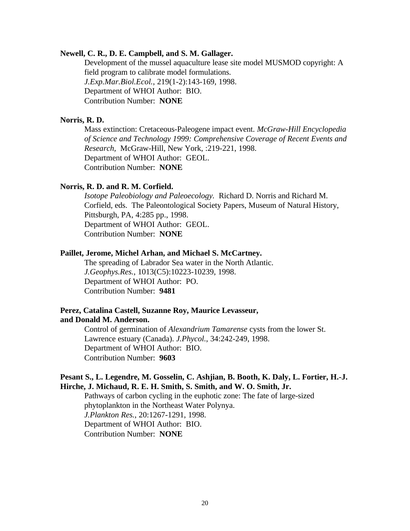### **Newell, C. R., D. E. Campbell, and S. M. Gallager.**

Development of the mussel aquaculture lease site model MUSMOD copyright: A field program to calibrate model formulations. *J.Exp.Mar.Biol.Ecol.*, 219(1-2):143-169, 1998. Department of WHOI Author: BIO. Contribution Number: **NONE**

### **Norris, R. D.**

Mass extinction: Cretaceous-Paleogene impact event. *McGraw-Hill Encyclopedia of Science and Technology 1999: Comprehensive Coverage of Recent Events and Research,* McGraw-Hill, New York, :219-221, 1998. Department of WHOI Author: GEOL. Contribution Number: **NONE**

### **Norris, R. D. and R. M. Corfield.**

*Isotope Paleobiology and Paleoecology.* Richard D. Norris and Richard M. Corfield, eds. The Paleontological Society Papers, Museum of Natural History, Pittsburgh, PA, 4:285 pp., 1998. Department of WHOI Author: GEOL. Contribution Number: **NONE**

### **Paillet, Jerome, Michel Arhan, and Michael S. McCartney.**

The spreading of Labrador Sea water in the North Atlantic. *J.Geophys.Res.*, 1013(C5):10223-10239, 1998. Department of WHOI Author: PO. Contribution Number: **9481**

### **Perez, Catalina Castell, Suzanne Roy, Maurice Levasseur, and Donald M. Anderson.**

Control of germination of *Alexandrium Tamarense* cysts from the lower St. Lawrence estuary (Canada). *J.Phycol.*, 34:242-249, 1998. Department of WHOI Author: BIO. Contribution Number: **9603**

### **Pesant S., L. Legendre, M. Gosselin, C. Ashjian, B. Booth, K. Daly, L. Fortier, H.-J. Hirche, J. Michaud, R. E. H. Smith, S. Smith, and W. O. Smith, Jr.**

Pathways of carbon cycling in the euphotic zone: The fate of large-sized phytoplankton in the Northeast Water Polynya. *J.Plankton Res.*, 20:1267-1291, 1998. Department of WHOI Author: BIO. Contribution Number: **NONE**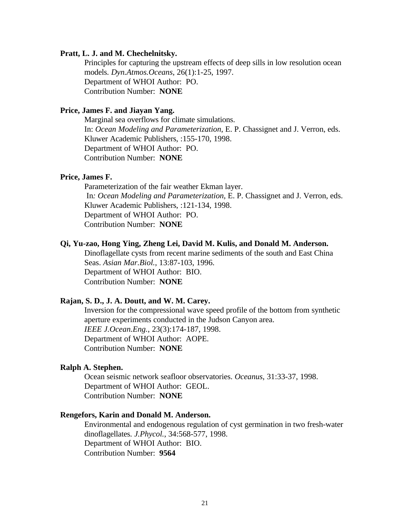#### **Pratt, L. J. and M. Chechelnitsky.**

Principles for capturing the upstream effects of deep sills in low resolution ocean models. *Dyn.Atmos.Oceans*, 26(1):1-25, 1997. Department of WHOI Author: PO. Contribution Number: **NONE**

### **Price, James F. and Jiayan Yang.**

Marginal sea overflows for climate simulations. In: *Ocean Modeling and Parameterization*, E. P. Chassignet and J. Verron, eds. Kluwer Academic Publishers, :155-170, 1998. Department of WHOI Author: PO. Contribution Number: **NONE**

## **Price, James F.**

Parameterization of the fair weather Ekman layer. In*: Ocean Modeling and Parameterization*, E. P. Chassignet and J. Verron, eds. Kluwer Academic Publishers, :121-134, 1998. Department of WHOI Author: PO. Contribution Number: **NONE**

## **Qi, Yu-zao, Hong Ying, Zheng Lei, David M. Kulis, and Donald M. Anderson.**

Dinoflagellate cysts from recent marine sediments of the south and East China Seas. *Asian Mar.Biol.*, 13:87-103, 1996. Department of WHOI Author: BIO. Contribution Number: **NONE**

### **Rajan, S. D., J. A. Doutt, and W. M. Carey.**

Inversion for the compressional wave speed profile of the bottom from synthetic aperture experiments conducted in the Judson Canyon area. *IEEE J.Ocean.Eng.*, 23(3):174-187, 1998. Department of WHOI Author: AOPE. Contribution Number: **NONE**

#### **Ralph A. Stephen.**

Ocean seismic network seafloor observatories. *Oceanus*, 31:33-37, 1998. Department of WHOI Author: GEOL. Contribution Number: **NONE**

### **Rengefors, Karin and Donald M. Anderson.**

Environmental and endogenous regulation of cyst germination in two fresh-water dinoflagellates. *J.Phycol.*, 34:568-577, 1998. Department of WHOI Author: BIO. Contribution Number: **9564**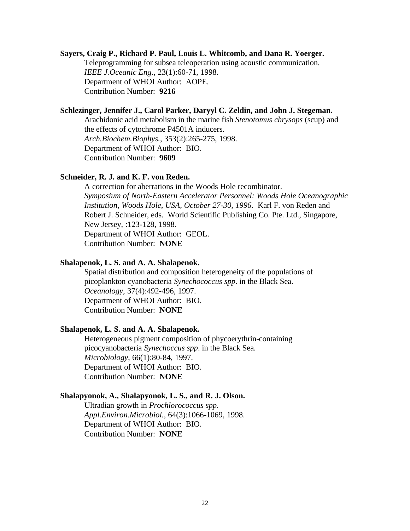### **Sayers, Craig P., Richard P. Paul, Louis L. Whitcomb, and Dana R. Yoerger.**

Teleprogramming for subsea teleoperation using acoustic communication. *IEEE J.Oceanic Eng.*, 23(1):60-71, 1998. Department of WHOI Author: AOPE. Contribution Number: **9216**

## **Schlezinger, Jennifer J., Carol Parker, Daryyl C. Zeldin, and John J. Stegeman.**

Arachidonic acid metabolism in the marine fish *Stenotomus chrysops* (scup) and the effects of cytochrome P4501A inducers. *Arch.Biochem.Biophys.*, 353(2):265-275, 1998. Department of WHOI Author: BIO. Contribution Number: **9609**

## **Schneider, R. J. and K. F. von Reden.**

A correction for aberrations in the Woods Hole recombinator. *Symposium of North-Eastern Accelerator Personnel: Woods Hole Oceanographic Institution, Woods Hole, USA, October 27-30, 1996.* Karl F. von Reden and Robert J. Schneider, eds. World Scientific Publishing Co. Pte. Ltd., Singapore, New Jersey, :123-128, 1998. Department of WHOI Author: GEOL. Contribution Number: **NONE**

### **Shalapenok, L. S. and A. A. Shalapenok.**

Spatial distribution and composition heterogeneity of the populations of picoplankton cyanobacteria *Synechococcus spp*. in the Black Sea. *Oceanology*, 37(4):492-496, 1997. Department of WHOI Author: BIO. Contribution Number: **NONE**

### **Shalapenok, L. S. and A. A. Shalapenok.**

Heterogeneous pigment composition of phycoerythrin-containing picocyanobacteria *Synechoccus spp*. in the Black Sea. *Microbiology*, 66(1):80-84, 1997. Department of WHOI Author: BIO. Contribution Number: **NONE**

### **Shalapyonok, A., Shalapyonok, L. S., and R. J. Olson.**

Ultradian growth in *Prochlorococcus spp*. *Appl.Environ.Microbiol.*, 64(3):1066-1069, 1998. Department of WHOI Author: BIO. Contribution Number: **NONE**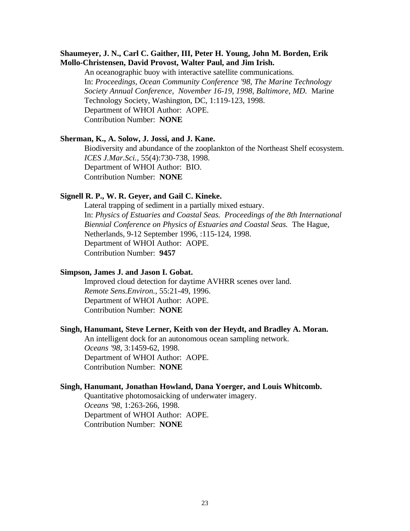## **Shaumeyer, J. N., Carl C. Gaither, III, Peter H. Young, John M. Borden, Erik Mollo-Christensen, David Provost, Walter Paul, and Jim Irish.**

An oceanographic buoy with interactive satellite communications. In: *Proceedings, Ocean Community Conference '98, The Marine Technology Society Annual Conference, November 16-19, 1998, Baltimore, MD.* Marine Technology Society, Washington, DC, 1:119-123, 1998. Department of WHOI Author: AOPE. Contribution Number: **NONE**

### **Sherman, K., A. Solow, J. Jossi, and J. Kane.**

Biodiversity and abundance of the zooplankton of the Northeast Shelf ecosystem. *ICES J.Mar.Sci.*, 55(4):730-738, 1998. Department of WHOI Author: BIO. Contribution Number: **NONE**

### **Signell R. P., W. R. Geyer, and Gail C. Kineke.**

Lateral trapping of sediment in a partially mixed estuary. In: *Physics of Estuaries and Coastal Seas. Proceedings of the 8th International Biennial Conference on Physics of Estuaries and Coastal Seas.* The Hague, Netherlands, 9-12 September 1996, :115-124, 1998. Department of WHOI Author: AOPE. Contribution Number: **9457**

### **Simpson, James J. and Jason I. Gobat.**

Improved cloud detection for daytime AVHRR scenes over land. *Remote Sens.Environ.*, 55:21-49, 1996. Department of WHOI Author: AOPE. Contribution Number: **NONE**

### **Singh, Hanumant, Steve Lerner, Keith von der Heydt, and Bradley A. Moran.**

An intelligent dock for an autonomous ocean sampling network. *Oceans '98*, 3:1459-62, 1998. Department of WHOI Author: AOPE. Contribution Number: **NONE**

### **Singh, Hanumant, Jonathan Howland, Dana Yoerger, and Louis Whitcomb.**

Quantitative photomosaicking of underwater imagery. *Oceans '98*, 1:263-266, 1998. Department of WHOI Author: AOPE. Contribution Number: **NONE**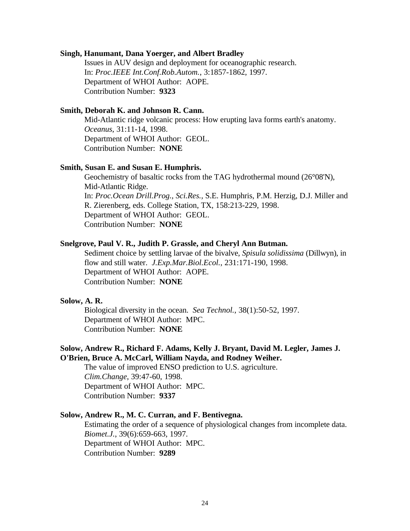## **Singh, Hanumant, Dana Yoerger, and Albert Bradley**

Issues in AUV design and deployment for oceanographic research. In: *Proc.IEEE Int.Conf.Rob.Autom.*, 3:1857-1862, 1997. Department of WHOI Author: AOPE. Contribution Number: **9323**

## **Smith, Deborah K. and Johnson R. Cann.**

Mid-Atlantic ridge volcanic process: How erupting lava forms earth's anatomy. *Oceanus*, 31:11-14, 1998. Department of WHOI Author: GEOL. Contribution Number: **NONE**

### **Smith, Susan E. and Susan E. Humphris.**

Geochemistry of basaltic rocks from the TAG hydrothermal mound (26°08'N), Mid-Atlantic Ridge. In: *Proc.Ocean Drill.Prog., Sci.Res.,* S.E. Humphris, P.M. Herzig, D.J. Miller and R. Zierenberg, eds. College Station, TX, 158:213-229, 1998. Department of WHOI Author: GEOL. Contribution Number: **NONE**

## **Snelgrove, Paul V. R., Judith P. Grassle, and Cheryl Ann Butman.**

Sediment choice by settling larvae of the bivalve, *Spisula solidissima* (Dillwyn), in flow and still water. *J.Exp.Mar.Biol.Ecol.*, 231:171-190, 1998. Department of WHOI Author: AOPE. Contribution Number: **NONE**

## **Solow, A. R.**

Biological diversity in the ocean. *Sea Technol.*, 38(1):50-52, 1997. Department of WHOI Author: MPC. Contribution Number: **NONE**

## **Solow, Andrew R., Richard F. Adams, Kelly J. Bryant, David M. Legler, James J. O'Brien, Bruce A. McCarl, William Nayda, and Rodney Weiher.**

The value of improved ENSO prediction to U.S. agriculture. *Clim.Change*, 39:47-60, 1998. Department of WHOI Author: MPC. Contribution Number: **9337**

### **Solow, Andrew R., M. C. Curran, and F. Bentivegna.**

Estimating the order of a sequence of physiological changes from incomplete data. *Biomet.J.*, 39(6):659-663, 1997. Department of WHOI Author: MPC. Contribution Number: **9289**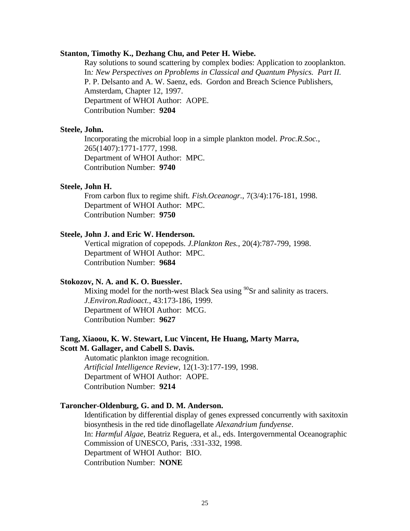### **Stanton, Timothy K., Dezhang Chu, and Peter H. Wiebe.**

Ray solutions to sound scattering by complex bodies: Application to zooplankton. In*: New Perspectives on Pproblems in Classical and Quantum Physics. Part II.* P. P. Delsanto and A. W. Saenz, eds. Gordon and Breach Science Publishers, Amsterdam, Chapter 12, 1997. Department of WHOI Author: AOPE. Contribution Number: **9204**

### **Steele, John.**

Incorporating the microbial loop in a simple plankton model. *Proc.R.Soc.*, 265(1407):1771-1777, 1998. Department of WHOI Author: MPC. Contribution Number: **9740**

### **Steele, John H.**

From carbon flux to regime shift. *Fish.Oceanogr.*, 7(3/4):176-181, 1998. Department of WHOI Author: MPC. Contribution Number: **9750**

### **Steele, John J. and Eric W. Henderson.**

Vertical migration of copepods. *J.Plankton Res.*, 20(4):787-799, 1998. Department of WHOI Author: MPC. Contribution Number: **9684**

## **Stokozov, N. A. and K. O. Buessler.**

Mixing model for the north-west Black Sea using  $90$ Sr and salinity as tracers. *J.Environ.Radioact.*, 43:173-186, 1999. Department of WHOI Author: MCG. Contribution Number: **9627**

## **Tang, Xiaoou, K. W. Stewart, Luc Vincent, He Huang, Marty Marra, Scott M. Gallager, and Cabell S. Davis.**

Automatic plankton image recognition. *Artificial Intelligence Review*, 12(1-3):177-199, 1998. Department of WHOI Author: AOPE. Contribution Number: **9214**

## **Taroncher-Oldenburg, G. and D. M. Anderson.**

Identification by differential display of genes expressed concurrently with saxitoxin biosynthesis in the red tide dinoflagellate *Alexandrium fundyense*. In: *Harmful Algae*, Beatriz Reguera, et al., eds. Intergovernmental Oceanographic Commission of UNESCO, Paris, :331-332, 1998. Department of WHOI Author: BIO. Contribution Number: **NONE**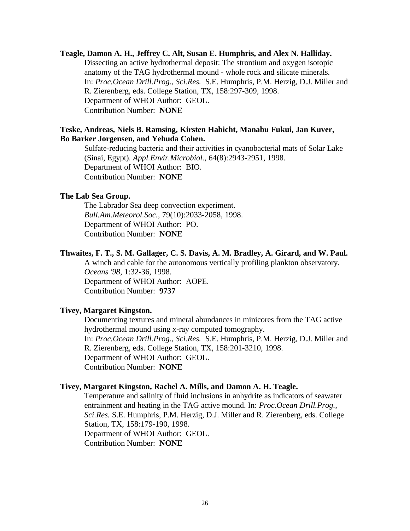### **Teagle, Damon A. H., Jeffrey C. Alt, Susan E. Humphris, and Alex N. Halliday.**

Dissecting an active hydrothermal deposit: The strontium and oxygen isotopic anatomy of the TAG hydrothermal mound - whole rock and silicate minerals. In: *Proc.Ocean Drill.Prog., Sci.Res.* S.E. Humphris, P.M. Herzig, D.J. Miller and R. Zierenberg, eds. College Station, TX, 158:297-309, 1998. Department of WHOI Author: GEOL. Contribution Number: **NONE**

## **Teske, Andreas, Niels B. Ramsing, Kirsten Habicht, Manabu Fukui, Jan Kuver, Bo Barker Jorgensen, and Yehuda Cohen.**

Sulfate-reducing bacteria and their activities in cyanobacterial mats of Solar Lake (Sinai, Egypt). *Appl.Envir.Microbiol.*, 64(8):2943-2951, 1998. Department of WHOI Author: BIO. Contribution Number: **NONE**

### **The Lab Sea Group.**

The Labrador Sea deep convection experiment. *Bull.Am.Meteorol.Soc.*, 79(10):2033-2058, 1998. Department of WHOI Author: PO. Contribution Number: **NONE**

## **Thwaites, F. T., S. M. Gallager, C. S. Davis, A. M. Bradley, A. Girard, and W. Paul.**

A winch and cable for the autonomous vertically profiling plankton observatory. *Oceans '98*, 1:32-36, 1998. Department of WHOI Author: AOPE. Contribution Number: **9737**

### **Tivey, Margaret Kingston.**

Documenting textures and mineral abundances in minicores from the TAG active hydrothermal mound using x-ray computed tomography. In: *Proc.Ocean Drill.Prog., Sci.Res.* S.E. Humphris, P.M. Herzig, D.J. Miller and R. Zierenberg, eds. College Station, TX, 158:201-3210, 1998. Department of WHOI Author: GEOL. Contribution Number: **NONE**

### **Tivey, Margaret Kingston, Rachel A. Mills, and Damon A. H. Teagle.**

Temperature and salinity of fluid inclusions in anhydrite as indicators of seawater entrainment and heating in the TAG active mound. In: *Proc.Ocean Drill.Prog., Sci.Res.* S.E. Humphris, P.M. Herzig, D.J. Miller and R. Zierenberg, eds. College Station, TX, 158:179-190, 1998. Department of WHOI Author: GEOL. Contribution Number: **NONE**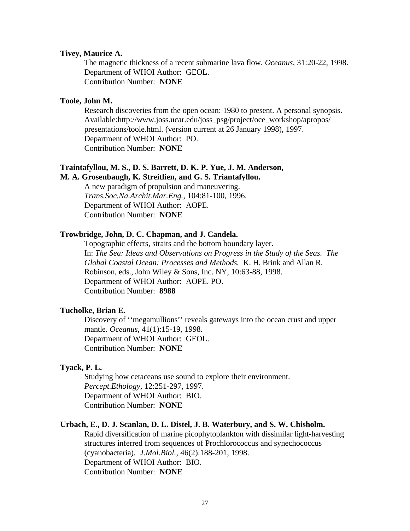### **Tivey, Maurice A.**

The magnetic thickness of a recent submarine lava flow. *Oceanus*, 31:20-22, 1998. Department of WHOI Author: GEOL. Contribution Number: **NONE**

### **Toole, John M.**

Research discoveries from the open ocean: 1980 to present. A personal synopsis. Available:http://www.joss.ucar.edu/joss\_psg/project/oce\_workshop/apropos/ presentations/toole.html. (version current at 26 January 1998), 1997. Department of WHOI Author: PO. Contribution Number: **NONE**

### **Traintafyllou, M. S., D. S. Barrett, D. K. P. Yue, J. M. Anderson, M. A. Grosenbaugh, K. Streitlien, and G. S. Triantafyllou.**

A new paradigm of propulsion and maneuvering. *Trans.Soc.Na.Archit.Mar.Eng.*, 104:81-100, 1996. Department of WHOI Author: AOPE. Contribution Number: **NONE**

### **Trowbridge, John, D. C. Chapman, and J. Candela.**

Topographic effects, straits and the bottom boundary layer. In: *The Sea: Ideas and Observations on Progress in the Study of the Seas. The Global Coastal Ocean: Processes and Methods.* K. H. Brink and Allan R. Robinson, eds., John Wiley & Sons, Inc. NY, 10:63-88, 1998. Department of WHOI Author: AOPE. PO. Contribution Number: **8988**

### **Tucholke, Brian E.**

Discovery of ''megamullions'' reveals gateways into the ocean crust and upper mantle. *Oceanus*, 41(1):15-19, 1998. Department of WHOI Author: GEOL. Contribution Number: **NONE**

#### **Tyack, P. L.**

Studying how cetaceans use sound to explore their environment. *Percept.Ethology*, 12:251-297, 1997. Department of WHOI Author: BIO. Contribution Number: **NONE**

## **Urbach, E., D. J. Scanlan, D. L. Distel, J. B. Waterbury, and S. W. Chisholm.**

Rapid diversification of marine picophytoplankton with dissimilar light-harvesting structures inferred from sequences of Prochlorococcus and synechococcus (cyanobacteria). *J.Mol.Biol.*, 46(2):188-201, 1998. Department of WHOI Author: BIO. Contribution Number: **NONE**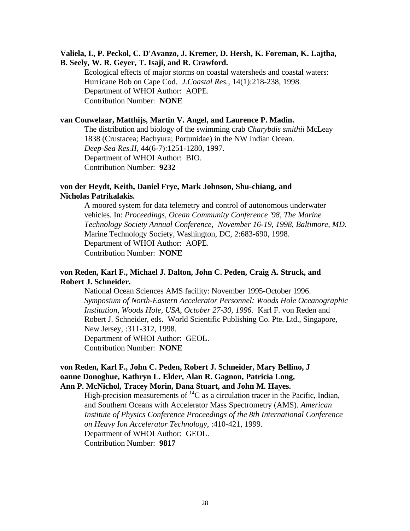## **Valiela, I., P. Peckol, C. D'Avanzo, J. Kremer, D. Hersh, K. Foreman, K. Lajtha, B. Seely, W. R. Geyer, T. Isaji, and R. Crawford.**

Ecological effects of major storms on coastal watersheds and coastal waters: Hurricane Bob on Cape Cod. *J.Coastal Res.*, 14(1):218-238, 1998. Department of WHOI Author: AOPE. Contribution Number: **NONE**

## **van Couwelaar, Matthijs, Martin V. Angel, and Laurence P. Madin.**

The distribution and biology of the swimming crab *Charybdis smithii* McLeay 1838 (Crustacea; Bachyura; Portunidae) in the NW Indian Ocean. *Deep-Sea Res.II*, 44(6-7):1251-1280, 1997. Department of WHOI Author: BIO. Contribution Number: **9232**

## **von der Heydt, Keith, Daniel Frye, Mark Johnson, Shu-chiang, and Nicholas Patrikalakis.**

A moored system for data telemetry and control of autonomous underwater vehicles. In: *Proceedings, Ocean Community Conference '98, The Marine Technology Society Annual Conference, November 16-19, 1998, Baltimore, MD.* Marine Technology Society, Washington, DC, 2:683-690, 1998. Department of WHOI Author: AOPE. Contribution Number: **NONE**

## **von Reden, Karl F., Michael J. Dalton, John C. Peden, Craig A. Struck, and Robert J. Schneider.**

National Ocean Sciences AMS facility: November 1995-October 1996. *Symposium of North-Eastern Accelerator Personnel: Woods Hole Oceanographic Institution, Woods Hole, USA, October 27-30, 1996.* Karl F. von Reden and Robert J. Schneider, eds. World Scientific Publishing Co. Pte. Ltd., Singapore, New Jersey, :311-312, 1998. Department of WHOI Author: GEOL. Contribution Number: **NONE**

## **von Reden, Karl F., John C. Peden, Robert J. Schneider, Mary Bellino, J oanne Donoghue, Kathryn L. Elder, Alan R. Gagnon, Patricia Long, Ann P. McNichol, Tracey Morin, Dana Stuart, and John M. Hayes.**

High-precision measurements of  ${}^{14}C$  as a circulation tracer in the Pacific, Indian, and Southern Oceans with Accelerator Mass Spectrometry (AMS). *American Institute of Physics Conference Proceedings of the 8th International Conference on Heavy Ion Accelerator Technology*, :410-421, 1999. Department of WHOI Author: GEOL. Contribution Number: **9817**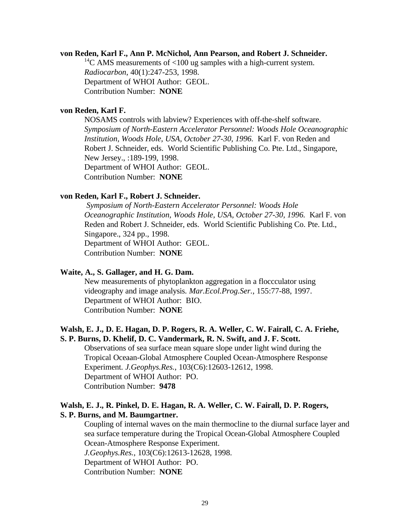### **von Reden, Karl F., Ann P. McNichol, Ann Pearson, and Robert J. Schneider.**

<sup>14</sup>C AMS measurements of <100 ug samples with a high-current system. *Radiocarbon*, 40(1):247-253, 1998. Department of WHOI Author: GEOL. Contribution Number: **NONE**

## **von Reden, Karl F.**

NOSAMS controls with labview? Experiences with off-the-shelf software. *Symposium of North-Eastern Accelerator Personnel: Woods Hole Oceanographic Institution, Woods Hole, USA, October 27-30, 1996.* Karl F. von Reden and Robert J. Schneider, eds. World Scientific Publishing Co. Pte. Ltd., Singapore, New Jersey., :189-199, 1998. Department of WHOI Author: GEOL. Contribution Number: **NONE**

### **von Reden, Karl F., Robert J. Schneider.**

*Symposium of North-Eastern Accelerator Personnel: Woods Hole Oceanographic Institution, Woods Hole, USA, October 27-30, 1996.* Karl F. von Reden and Robert J. Schneider, eds. World Scientific Publishing Co. Pte. Ltd., Singapore., 324 pp., 1998. Department of WHOI Author: GEOL. Contribution Number: **NONE**

## **Waite, A., S. Gallager, and H. G. Dam.**

New measurements of phytoplankton aggregation in a floccculator using videography and image analysis. *Mar.Ecol.Prog.Ser.*, 155:77-88, 1997. Department of WHOI Author: BIO. Contribution Number: **NONE**

## **Walsh, E. J., D. E. Hagan, D. P. Rogers, R. A. Weller, C. W. Fairall, C. A. Friehe, S. P. Burns, D. Khelif, D. C. Vandermark, R. N. Swift, and J. F. Scott.**

Observations of sea surface mean square slope under light wind during the Tropical Oceaan-Global Atmosphere Coupled Ocean-Atmosphere Response Experiment. *J.Geophys.Res.*, 103(C6):12603-12612, 1998. Department of WHOI Author: PO. Contribution Number: **9478**

## **Walsh, E. J., R. Pinkel, D. E. Hagan, R. A. Weller, C. W. Fairall, D. P. Rogers, S. P. Burns, and M. Baumgartner.**

Coupling of internal waves on the main thermocline to the diurnal surface layer and sea surface temperature during the Tropical Ocean-Global Atmosphere Coupled Ocean-Atmosphere Response Experiment. *J.Geophys.Res.*, 103(C6):12613-12628, 1998. Department of WHOI Author: PO. Contribution Number: **NONE**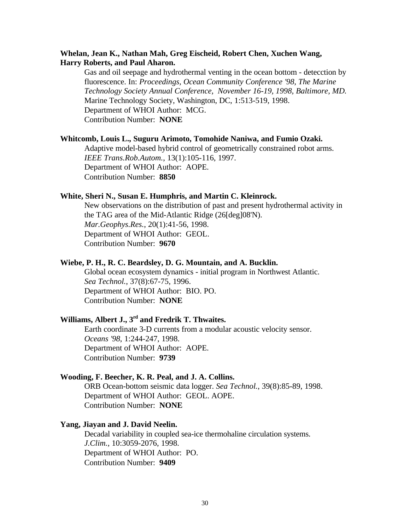## **Whelan, Jean K., Nathan Mah, Greg Eischeid, Robert Chen, Xuchen Wang, Harry Roberts, and Paul Aharon.**

Gas and oil seepage and hydrothermal venting in the ocean bottom - detecction by fluorescence. In: *Proceedings, Ocean Community Conference '98, The Marine Technology Society Annual Conference, November 16-19, 1998, Baltimore, MD.* Marine Technology Society, Washington, DC, 1:513-519, 1998. Department of WHOI Author: MCG. Contribution Number: **NONE**

#### **Whitcomb, Louis L., Suguru Arimoto, Tomohide Naniwa, and Fumio Ozaki.**

Adaptive model-based hybrid control of geometrically constrained robot arms. *IEEE Trans.Rob.Autom.*, 13(1):105-116, 1997. Department of WHOI Author: AOPE. Contribution Number: **8850**

### **White, Sheri N., Susan E. Humphris, and Martin C. Kleinrock.**

New observations on the distribution of past and present hydrothermal activity in the TAG area of the Mid-Atlantic Ridge (26[deg]08'N). *Mar.Geophys.Res.*, 20(1):41-56, 1998. Department of WHOI Author: GEOL. Contribution Number: **9670**

## **Wiebe, P. H., R. C. Beardsley, D. G. Mountain, and A. Bucklin.**

Global ocean ecosystem dynamics - initial program in Northwest Atlantic. *Sea Technol.*, 37(8):67-75, 1996. Department of WHOI Author: BIO. PO. Contribution Number: **NONE**

# **Williams, Albert J., 3rd and Fredrik T. Thwaites.**

Earth coordinate 3-D currents from a modular acoustic velocity sensor. *Oceans '98*, 1:244-247, 1998. Department of WHOI Author: AOPE. Contribution Number: **9739**

#### **Wooding, F. Beecher, K. R. Peal, and J. A. Collins.**

ORB Ocean-bottom seismic data logger. *Sea Technol.*, 39(8):85-89, 1998. Department of WHOI Author: GEOL. AOPE. Contribution Number: **NONE**

### **Yang, Jiayan and J. David Neelin.**

Decadal variability in coupled sea-ice thermohaline circulation systems. *J.Clim.*, 10:3059-2076, 1998. Department of WHOI Author: PO. Contribution Number: **9409**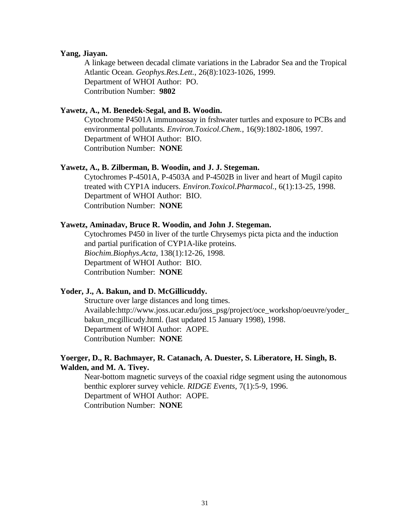### **Yang, Jiayan.**

A linkage between decadal climate variations in the Labrador Sea and the Tropical Atlantic Ocean. *Geophys.Res.Lett.*, 26(8):1023-1026, 1999. Department of WHOI Author: PO. Contribution Number: **9802**

## **Yawetz, A., M. Benedek-Segal, and B. Woodin.**

Cytochrome P4501A immunoassay in frshwater turtles and exposure to PCBs and environmental pollutants. *Environ.Toxicol.Chem.*, 16(9):1802-1806, 1997. Department of WHOI Author: BIO. Contribution Number: **NONE**

### **Yawetz, A., B. Zilberman, B. Woodin, and J. J. Stegeman.**

Cytochromes P-4501A, P-4503A and P-4502B in liver and heart of Mugil capito treated with CYP1A inducers. *Environ.Toxicol.Pharmacol.*, 6(1):13-25, 1998. Department of WHOI Author: BIO. Contribution Number: **NONE**

### **Yawetz, Aminadav, Bruce R. Woodin, and John J. Stegeman.**

Cytochromes P450 in liver of the turtle Chrysemys picta picta and the induction and partial purification of CYP1A-like proteins. *Biochim.Biophys.Acta*, 138(1):12-26, 1998. Department of WHOI Author: BIO. Contribution Number: **NONE**

### **Yoder, J., A. Bakun, and D. McGillicuddy.**

Structure over large distances and long times. Available:http://www.joss.ucar.edu/joss\_psg/project/oce\_workshop/oeuvre/yoder\_ bakun\_mcgillicudy.html. (last updated 15 January 1998), 1998. Department of WHOI Author: AOPE. Contribution Number: **NONE**

## **Yoerger, D., R. Bachmayer, R. Catanach, A. Duester, S. Liberatore, H. Singh, B. Walden, and M. A. Tivey.**

Near-bottom magnetic surveys of the coaxial ridge segment using the autonomous benthic explorer survey vehicle. *RIDGE Events*, 7(1):5-9, 1996. Department of WHOI Author: AOPE. Contribution Number: **NONE**